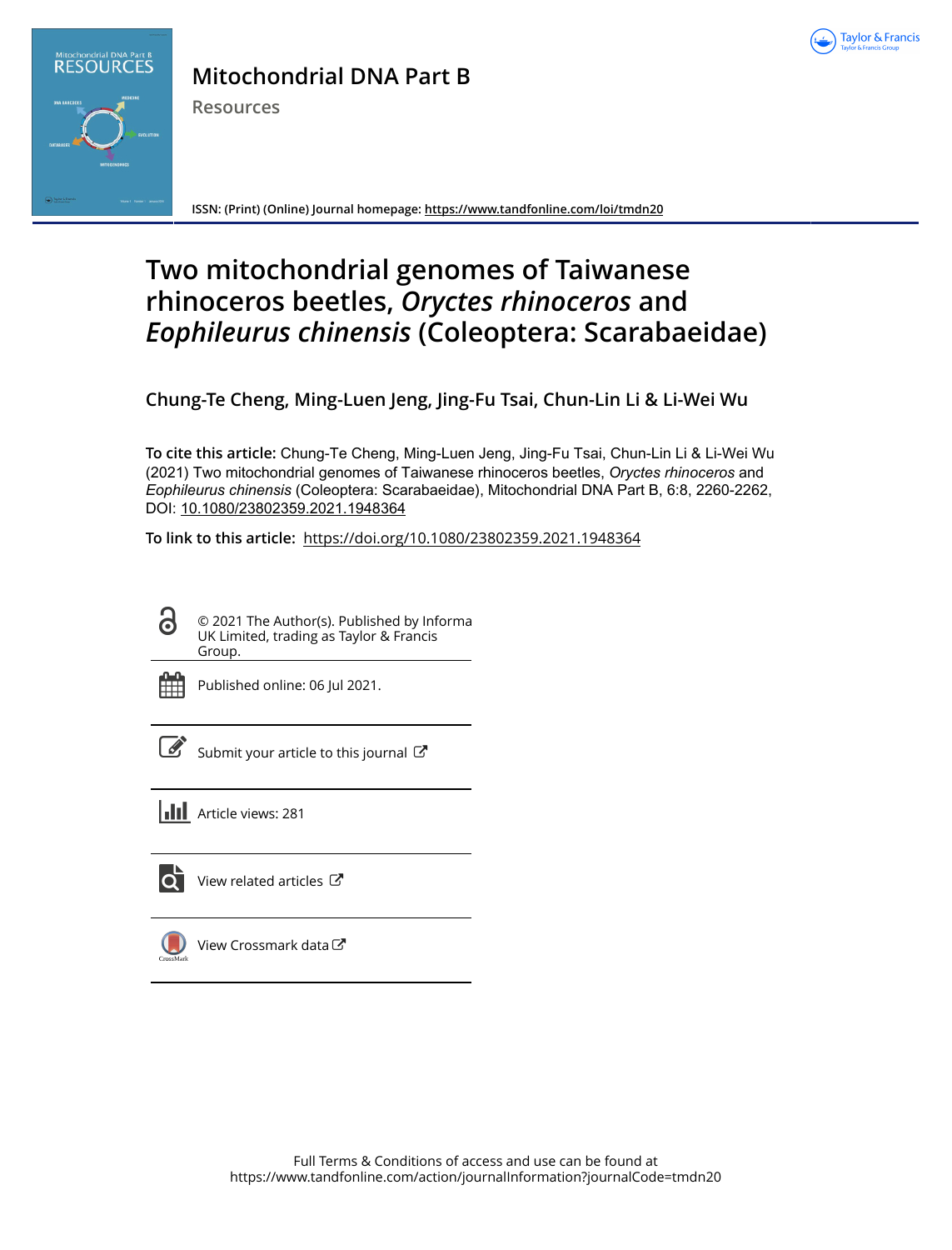



## **Mitochondrial DNA Part B**

**Resources**

**ISSN: (Print) (Online) Journal homepage:<https://www.tandfonline.com/loi/tmdn20>**

# **Two mitochondrial genomes of Taiwanese rhinoceros beetles,** *Oryctes rhinoceros* **and** *Eophileurus chinensis* **(Coleoptera: Scarabaeidae)**

**Chung-Te Cheng, Ming-Luen Jeng, Jing-Fu Tsai, Chun-Lin Li & Li-Wei Wu**

**To cite this article:** Chung-Te Cheng, Ming-Luen Jeng, Jing-Fu Tsai, Chun-Lin Li & Li-Wei Wu (2021) Two mitochondrial genomes of Taiwanese rhinoceros beetles, *Oryctes rhinoceros* and *Eophileuruschinensis* (Coleoptera: Scarabaeidae), Mitochondrial DNA Part B, 6:8, 2260-2262, DOI: [10.1080/23802359.2021.1948364](https://www.tandfonline.com/action/showCitFormats?doi=10.1080/23802359.2021.1948364)

**To link to this article:** <https://doi.org/10.1080/23802359.2021.1948364>



© 2021 The Author(s). Published by Informa UK Limited, trading as Taylor & Francis Group.



Published online: 06 Jul 2021.

[Submit your article to this journal](https://www.tandfonline.com/action/authorSubmission?journalCode=tmdn20&show=instructions)  $\mathbb{Z}$ 





[View related articles](https://www.tandfonline.com/doi/mlt/10.1080/23802359.2021.1948364) C



[View Crossmark data](http://crossmark.crossref.org/dialog/?doi=10.1080/23802359.2021.1948364&domain=pdf&date_stamp=2021-07-06)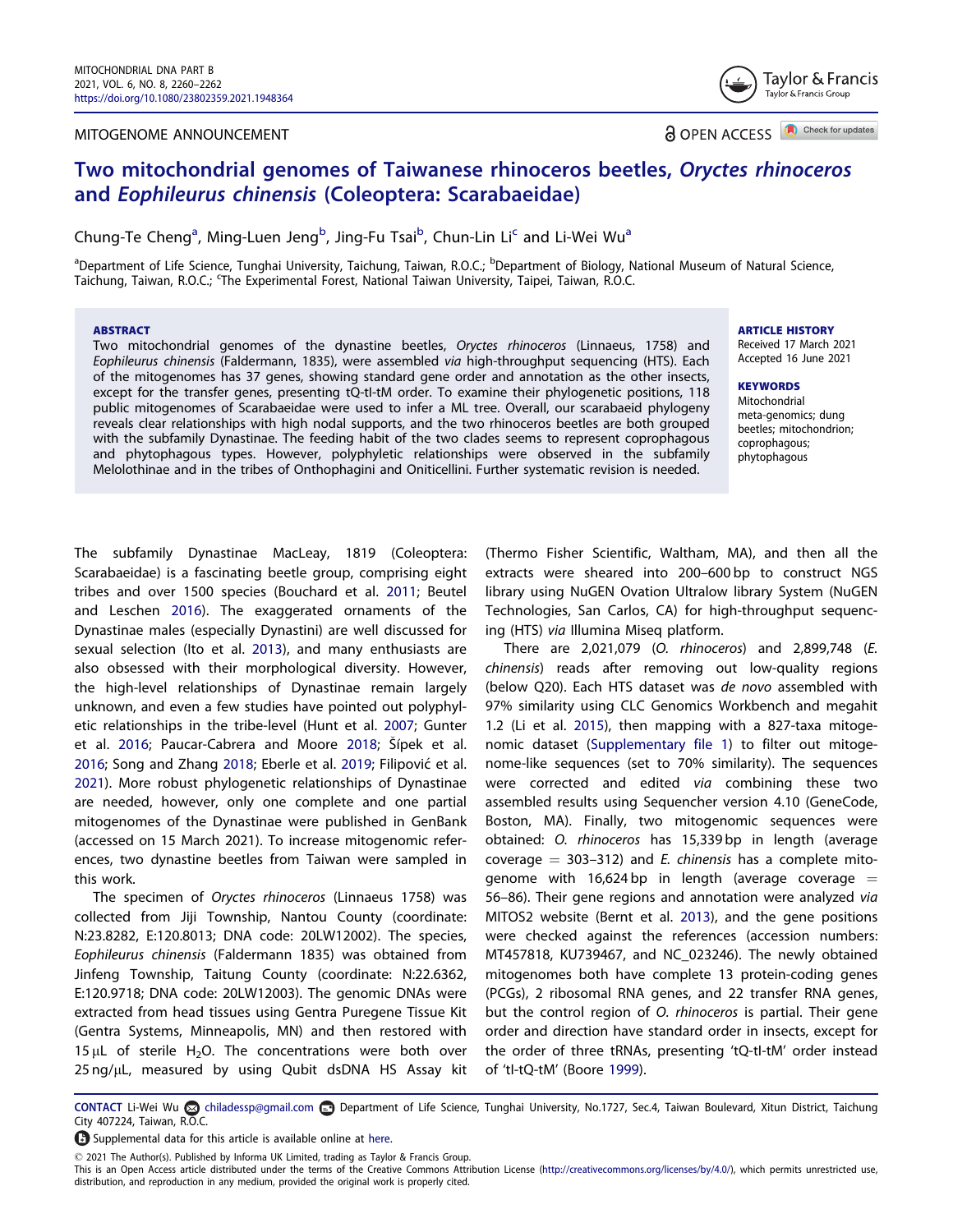#### <span id="page-1-0"></span>MITOGENOME ANNOUNCEMENT



**a** OPEN ACCESS **a** Check for updates

### Two mitochondrial genomes of Taiwanese rhinoceros beetles, Oryctes rhinoceros and Eophileurus chinensis (Coleoptera: Scarabaeidae)

Chung-Te Cheng<sup>a</sup>, Ming-Luen Jeng<sup>b</sup>, Jing-Fu Tsai<sup>b</sup>, Chun-Lin Li<sup>c</sup> and Li-Wei Wu<sup>a</sup>

<sup>a</sup>Department of Life Science, Tunghai University, Taichung, Taiwan, R.O.C.; <sup>b</sup>Department of Biology, National Museum of Natural Science, Taichung, Taiwan, R.O.C.; 'The Experimental Forest, National Taiwan University, Taipei, Taiwan, R.O.C.

#### **ABSTRACT**

Two mitochondrial genomes of the dynastine beetles, Oryctes rhinoceros (Linnaeus, 1758) and Eophileurus chinensis (Faldermann, 1835), were assembled via high-throughput sequencing (HTS). Each of the mitogenomes has 37 genes, showing standard gene order and annotation as the other insects, except for the transfer genes, presenting tQ-tI-tM order. To examine their phylogenetic positions, 118 public mitogenomes of Scarabaeidae were used to infer a ML tree. Overall, our scarabaeid phylogeny reveals clear relationships with high nodal supports, and the two rhinoceros beetles are both grouped with the subfamily Dynastinae. The feeding habit of the two clades seems to represent coprophagous and phytophagous types. However, polyphyletic relationships were observed in the subfamily Melolothinae and in the tribes of Onthophagini and Oniticellini. Further systematic revision is needed.

ARTICLE HISTORY Received 17 March 2021

Accepted 16 June 2021

#### **KEYWORDS**

Mitochondrial meta-genomics; dung beetles; mitochondrion; coprophagous; phytophagous

The subfamily Dynastinae MacLeay, 1819 (Coleoptera: Scarabaeidae) is a fascinating beetle group, comprising eight tribes and over 1500 species (Bouchard et al. [2011;](#page-2-0) Beutel and Leschen [2016\)](#page-2-0). The exaggerated ornaments of the Dynastinae males (especially Dynastini) are well discussed for sexual selection (Ito et al. [2013\)](#page-3-0), and many enthusiasts are also obsessed with their morphological diversity. However, the high-level relationships of Dynastinae remain largely unknown, and even a few studies have pointed out polyphyletic relationships in the tribe-level (Hunt et al. [2007](#page-3-0); Gunter et al. [2016;](#page-2-0) Paucar-Cabrera and Moore [2018](#page-3-0); Sipek et al. [2016](#page-3-0); Song and Zhang [2018;](#page-3-0) Eberle et al. [2019;](#page-2-0) Filipovic et al. [2021](#page-2-0)). More robust phylogenetic relationships of Dynastinae are needed, however, only one complete and one partial mitogenomes of the Dynastinae were published in GenBank (accessed on 15 March 2021). To increase mitogenomic references, two dynastine beetles from Taiwan were sampled in this work.

The specimen of Oryctes rhinoceros (Linnaeus 1758) was collected from Jiji Township, Nantou County (coordinate: N:23.8282, E:120.8013; DNA code: 20LW12002). The species, Eophileurus chinensis (Faldermann 1835) was obtained from Jinfeng Township, Taitung County (coordinate: N:22.6362, E:120.9718; DNA code: 20LW12003). The genomic DNAs were extracted from head tissues using Gentra Puregene Tissue Kit (Gentra Systems, Minneapolis, MN) and then restored with 15  $\mu$ L of sterile H<sub>2</sub>O. The concentrations were both over 25 ng/µL, measured by using Qubit dsDNA HS Assay kit

(Thermo Fisher Scientific, Waltham, MA), and then all the extracts were sheared into 200–600 bp to construct NGS library using NuGEN Ovation Ultralow library System (NuGEN Technologies, San Carlos, CA) for high-throughput sequencing (HTS) via Illumina Miseq platform.

There are 2,021,079 (O. rhinoceros) and 2,899,748 (E. chinensis) reads after removing out low-quality regions (below Q20). Each HTS dataset was de novo assembled with 97% similarity using CLC Genomics Workbench and megahit 1.2 (Li et al. [2015](#page-3-0)), then mapping with a 827-taxa mitogenomic dataset ([Supplementary file 1](https://doi.org/10.1080/23802359.2021.1948364)) to filter out mitogenome-like sequences (set to 70% similarity). The sequences were corrected and edited via combining these two assembled results using Sequencher version 4.10 (GeneCode, Boston, MA). Finally, two mitogenomic sequences were obtained: O. rhinoceros has 15,339 bp in length (average coverage  $= 303-312$ ) and *E. chinensis* has a complete mitogenome with 16,624 bp in length (average coverage  $=$ 56–86). Their gene regions and annotation were analyzed via MITOS2 website (Bernt et al. [2013\)](#page-2-0), and the gene positions were checked against the references (accession numbers: MT457818, KU739467, and NC\_023246). The newly obtained mitogenomes both have complete 13 protein-coding genes (PCGs), 2 ribosomal RNA genes, and 22 transfer RNA genes, but the control region of O. rhinoceros is partial. Their gene order and direction have standard order in insects, except for the order of three tRNAs, presenting 'tQ-tI-tM' order instead of 'tI-tQ-tM' (Boore [1999\)](#page-2-0).

Supplemental data for this article is available online at [here.](https://doi.org/10.1080/23802359.2021.1948364)

2021 The Author(s). Published by Informa UK Limited, trading as Taylor & Francis Group.

This is an Open Access article distributed under the terms of the Creative Commons Attribution License ([http://creativecommons.org/licenses/by/4.0/\)](http://creativecommons.org/licenses/by/4.0/), which permits unrestricted use, distribution, and reproduction in any medium, provided the original work is properly cited.

CONTACT Li-Wei Wu chiladessp@gmail.com en Department of Life Science, Tunghai University, No.1727, Sec.4, Taiwan Boulevard, Xitun District, Taichung City 407224, Taiwan, R.O.C.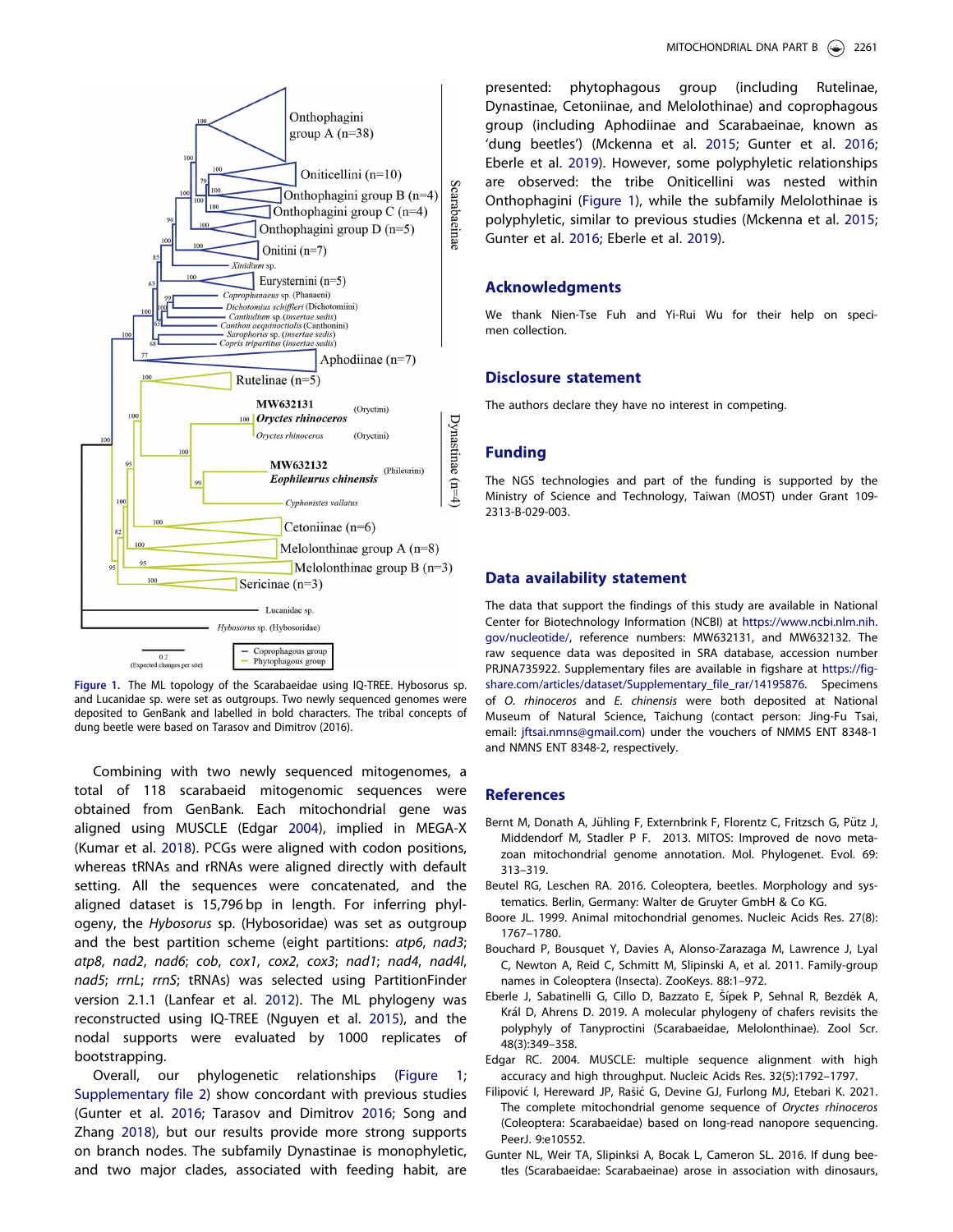<span id="page-2-0"></span>

Figure 1. The ML topology of the Scarabaeidae using IQ-TREE. Hybosorus sp. and Lucanidae sp. were set as outgroups. Two newly sequenced genomes were deposited to GenBank and labelled in bold characters. The tribal concepts of dung beetle were based on Tarasov and Dimitrov (2016).

Combining with two newly sequenced mitogenomes, a total of 118 scarabaeid mitogenomic sequences were obtained from GenBank. Each mitochondrial gene was aligned using MUSCLE (Edgar 2004), implied in MEGA-X (Kumar et al. [2018](#page-3-0)). PCGs were aligned with codon positions, whereas tRNAs and rRNAs were aligned directly with default setting. All the sequences were concatenated, and the aligned dataset is 15,796 bp in length. For inferring phylogeny, the Hybosorus sp. (Hybosoridae) was set as outgroup and the best partition scheme (eight partitions: atp6, nad3; atp8, nad2, nad6; cob, cox1, cox2, cox3; nad1; nad4, nad4l, nad5; rrnL; rrnS; tRNAs) was selected using PartitionFinder version 2.1.1 (Lanfear et al. [2012\)](#page-3-0). The ML phylogeny was reconstructed using IQ-TREE (Nguyen et al. [2015\)](#page-3-0), and the nodal supports were evaluated by 1000 replicates of bootstrapping.

Overall, our phylogenetic relationships (Figure 1; [Supplementary file 2\)](https://doi.org/10.1080/23802359.2021.1948364) show concordant with previous studies (Gunter et al. 2016; Tarasov and Dimitrov [2016](#page-3-0); Song and Zhang [2018\)](#page-3-0), but our results provide more strong supports on branch nodes. The subfamily Dynastinae is monophyletic, and two major clades, associated with feeding habit, are

presented: phytophagous group (including Rutelinae, Dynastinae, Cetoniinae, and Melolothinae) and coprophagous group (including Aphodiinae and Scarabaeinae, known as 'dung beetles') (Mckenna et al. [2015;](#page-3-0) Gunter et al. 2016; Eberle et al. 2019). However, some polyphyletic relationships are observed: the tribe Oniticellini was nested within Onthophagini (Figure 1), while the subfamily Melolothinae is polyphyletic, similar to previous studies (Mckenna et al. [2015](#page-3-0); Gunter et al. 2016; Eberle et al. 2019).

#### Acknowledgments

We thank Nien-Tse Fuh and Yi-Rui Wu for their help on specimen collection.

#### Disclosure statement

The authors declare they have no interest in competing.

#### Funding

The NGS technologies and part of the funding is supported by the Ministry of Science and Technology, Taiwan (MOST) under Grant 109- 2313-B-029-003.

#### Data availability statement

The data that support the findings of this study are available in National Center for Biotechnology Information (NCBI) at [https://www.ncbi.nlm.nih.](https://www.ncbi.nlm.nih.gov/nucleotide/) [gov/nucleotide/,](https://www.ncbi.nlm.nih.gov/nucleotide/) reference numbers: MW632131, and MW632132. The raw sequence data was deposited in SRA database, accession number PRJNA735922. Supplementary files are available in figshare at [https://fig](https://figshare.com/articles/dataset/Supplementary_file_rar/14195876)[share.com/articles/dataset/Supplementary\\_file\\_rar/14195876](https://figshare.com/articles/dataset/Supplementary_file_rar/14195876). Specimens of O. rhinoceros and E. chinensis were both deposited at National Museum of Natural Science, Taichung (contact person: Jing-Fu Tsai, email: [jftsai.nmns@gmail.com](mailto:jftsai.nmns.com)) under the vouchers of NMMS ENT 8348-1 and NMNS ENT 8348-2, respectively.

#### References

- Bernt M, Donath A, Jühling F, Externbrink F, Florentz C, Fritzsch G, Pütz J, Middendorf M, Stadler P F. [2013](#page-1-0). MITOS: Improved de novo metazoan mitochondrial genome annotation. Mol. Phylogenet. Evol. 69: 313–319.
- Beutel RG, Leschen RA. [2016](#page-1-0). Coleoptera, beetles. Morphology and systematics. Berlin, Germany: Walter de Gruyter GmbH & Co KG.
- Boore JL. [1999.](#page-1-0) Animal mitochondrial genomes. Nucleic Acids Res. 27(8): 1767–1780.
- Bouchard P, Bousquet Y, Davies A, Alonso-Zarazaga M, Lawrence J, Lyal C, Newton A, Reid C, Schmitt M, Slipinski A, et al. [2011.](#page-1-0) Family-group names in Coleoptera (Insecta). ZooKeys. 88:1–972.
- Eberle J, Sabatinelli G, Cillo D, Bazzato E, Šípek P, Sehnal R, Bezděk A, Král D, Ahrens D. [2019](#page-1-0). A molecular phylogeny of chafers revisits the polyphyly of Tanyproctini (Scarabaeidae, Melolonthinae). Zool Scr. 48(3):349–358.
- Edgar RC. 2004. MUSCLE: multiple sequence alignment with high accuracy and high throughput. Nucleic Acids Res. 32(5):1792–1797.
- Filipović I, Hereward JP, Rašić G, Devine GJ, Furlong MJ, Etebari K. [2021.](#page-1-0) The complete mitochondrial genome sequence of Oryctes rhinoceros (Coleoptera: Scarabaeidae) based on long-read nanopore sequencing. PeerJ. 9:e10552.
- Gunter NL, Weir TA, Slipinksi A, Bocak L, Cameron SL. [2016.](#page-1-0) If dung beetles (Scarabaeidae: Scarabaeinae) arose in association with dinosaurs,